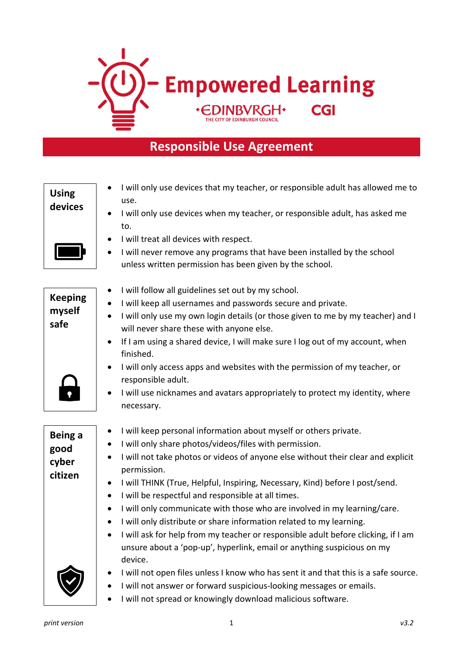

## **Responsible Use Agreement**

| <b>Using</b><br>devices                    | I will only use devices that my teacher, or responsible adult has allowed me to<br>use.<br>I will only use devices when my teacher, or responsible adult, has asked me<br>to.<br>I will treat all devices with respect.<br>I will never remove any programs that have been installed by the school<br>$\bullet$<br>unless written permission has been given by the school.                                                                                                                                                                                                                                                                                                                                                                                                                                                                            |
|--------------------------------------------|-------------------------------------------------------------------------------------------------------------------------------------------------------------------------------------------------------------------------------------------------------------------------------------------------------------------------------------------------------------------------------------------------------------------------------------------------------------------------------------------------------------------------------------------------------------------------------------------------------------------------------------------------------------------------------------------------------------------------------------------------------------------------------------------------------------------------------------------------------|
| <b>Keeping</b><br>myself<br>safe           | I will follow all guidelines set out by my school.<br>I will keep all usernames and passwords secure and private.<br>I will only use my own login details (or those given to me by my teacher) and I<br>will never share these with anyone else.<br>If I am using a shared device, I will make sure I log out of my account, when<br>$\bullet$<br>finished.<br>I will only access apps and websites with the permission of my teacher, or<br>responsible adult.<br>I will use nicknames and avatars appropriately to protect my identity, where<br>necessary.                                                                                                                                                                                                                                                                                         |
| <b>Being a</b><br>good<br>cyber<br>citizen | I will keep personal information about myself or others private.<br>$\bullet$<br>I will only share photos/videos/files with permission.<br>$\bullet$<br>I will not take photos or videos of anyone else without their clear and explicit<br>permission.<br>I will THINK (True, Helpful, Inspiring, Necessary, Kind) before I post/send.<br>$\bullet$<br>I will be respectful and responsible at all times.<br>$\bullet$<br>I will only communicate with those who are involved in my learning/care.<br>٠<br>I will only distribute or share information related to my learning.<br>٠<br>I will ask for help from my teacher or responsible adult before clicking, if I am<br>unsure about a 'pop-up', hyperlink, email or anything suspicious on my<br>device.<br>I will not open files unless I know who has sent it and that this is a safe source. |
|                                            | I will not answer or forward suspicious-looking messages or emails.<br>I will not spread or knowingly download malicious software.                                                                                                                                                                                                                                                                                                                                                                                                                                                                                                                                                                                                                                                                                                                    |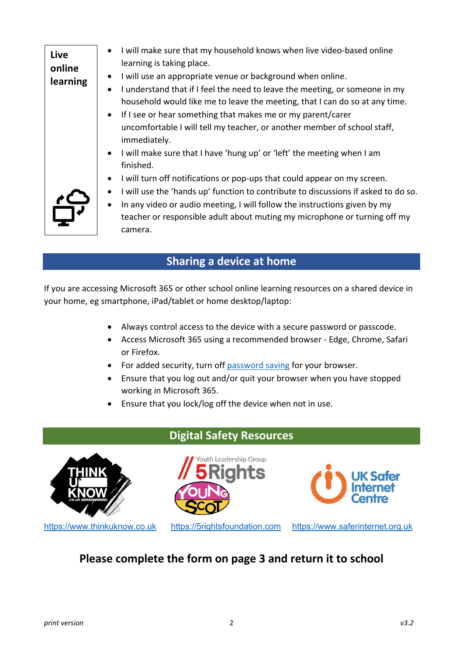| Live<br>online<br>learning | I will make sure that my household knows when live video-based online<br>learning is taking place.<br>I will use an appropriate venue or background when online.<br>$\bullet$<br>I understand that if I feel the need to leave the meeting, or someone in my<br>household would like me to leave the meeting, that I can do so at any time.<br>If I see or hear something that makes me or my parent/carer<br>$\bullet$<br>uncomfortable I will tell my teacher, or another member of school staff,<br>immediately. |
|----------------------------|---------------------------------------------------------------------------------------------------------------------------------------------------------------------------------------------------------------------------------------------------------------------------------------------------------------------------------------------------------------------------------------------------------------------------------------------------------------------------------------------------------------------|
| $\frac{1}{\sqrt{2}}$       | • I will make sure that I have 'hung up' or 'left' the meeting when I am<br>finished.<br>I will turn off notifications or pop-ups that could appear on my screen.<br>$\bullet$<br>I will use the 'hands up' function to contribute to discussions if asked to do so.<br>$\bullet$<br>In any video or audio meeting, I will follow the instructions given by my<br>teacher or responsible adult about muting my microphone or turning off my<br>camera.                                                              |

## **Sharing a device at home**

If you are accessing Microsoft 365 or other school online learning resources on a shared device in your home, eg smartphone, iPad/tablet or home desktop/laptop:

- Always control access to the device with a secure password or passcode.
- Access Microsoft 365 using a recommended browser Edge, Chrome, Safari or Firefox.
- For added security, turn off password saving for your browser.
- Ensure that you log out and/or quit your browser when you have stopped working in Microsoft 365.
- Ensure that you lock/log off the device when not in use.



## **Please complete the form on page 3 and return it to school**